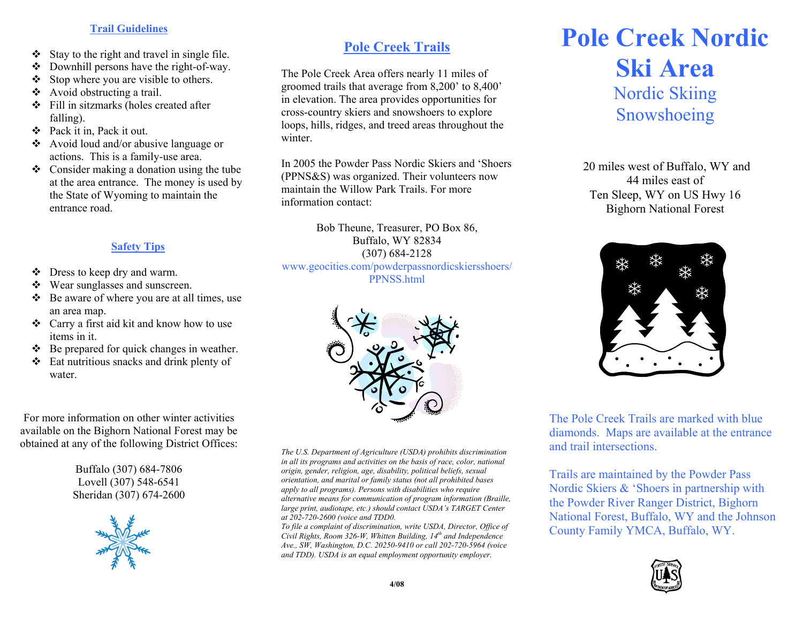## **Trail Guidelines**

- $\cdot \cdot$  Stay to the right and travel in single file.
- Downhill persons have the right-of-way.
- ❖ Stop where you are visible to others.
- $\triangleleft$  Avoid obstructing a trail.
- $\div$  Fill in sitzmarks (holes created after falling).
- Pack it in, Pack it out.
- $\triangleleft$  Avoid loud and/or abusive language or actions. This is a family-use area.
- $\triangleleft$  Consider making a donation using the tube at the area entrance. The money is used by the State of Wyoming to maintain the entrance road.

## **Safety Tips**

- Dress to keep dry and warm.
- Wear sunglasses and sunscreen.
- $\triangleleft$  Be aware of where you are at all times, use an area map.
- Carry a first aid kit and know how to use items in it.
- $\triangleleft$  Be prepared for quick changes in weather.
- $\triangleleft$  Eat nutritious snacks and drink plenty of water.

For more information on other winter activities available on the Bighorn National Forest may be obtained at any of the following District Offices:

> Buffalo (307) 684-7806 Lovell (307) 548-6541 Sheridan (307) 674-2600



## **Pole Creek Trails**

The Pole Creek Area offers nearly 11 miles of groomed trails that average from 8,200' to 8,400' in elevation. The area provides opportunities for cross-country skiers and snowshoers to explore loops, hills, ridges, and treed areas throughout the winter.

In 2005 the Powder Pass Nordic Skiers and 'Shoers (PPNS&S) was organized. Their volunteers now maintain the Willow Park Trails. For more information contact:

> Bob Theune, Treasurer, PO Box 86, Buffalo, WY 82834 (307) 684-2128

www.geocities.com/powderpassnordicskiersshoers/ PPNSS.html



*The U.S. Department of Agriculture (USDA) prohibits discrimination in all its programs and activities on the basis of race, color, national origin, gender, religion, age, disability, political beliefs, sexual orientation, and marital or family status (not all prohibited bases apply to all programs). Persons with disabilities who require alternative means for communication of program information (Braille, large print, audiotape, etc.) should contact USDA's TARGET Center at 202-720-2600 (voice and TDD0.* 

*To file a complaint of discrimination, write USDA, Director, Office of Civil Rights, Room 326-W, Whitten Building, 14th and Independence Ave., SW, Washington, D.C. 20250-9410 or call 202-720-5964 (voice and TDD). USDA is an equal employment opportunity employer.* 

## **Pole Creek Nordic Ski Area**  Nordic Skiing Snowshoeing

20 miles west of Buffalo, WY and 44 miles east of Ten Sleep, WY on US Hwy 16 Bighorn National Forest



The Pole Creek Trails are marked with blue diamonds. Maps are available at the entrance and trail intersections.

Trails are maintained by the Powder Pass Nordic Skiers & 'Shoers in partnership with the Powder River Ranger District, Bighorn National Forest, Buffalo, WY and the Johnson County Family YMCA, Buffalo, WY.